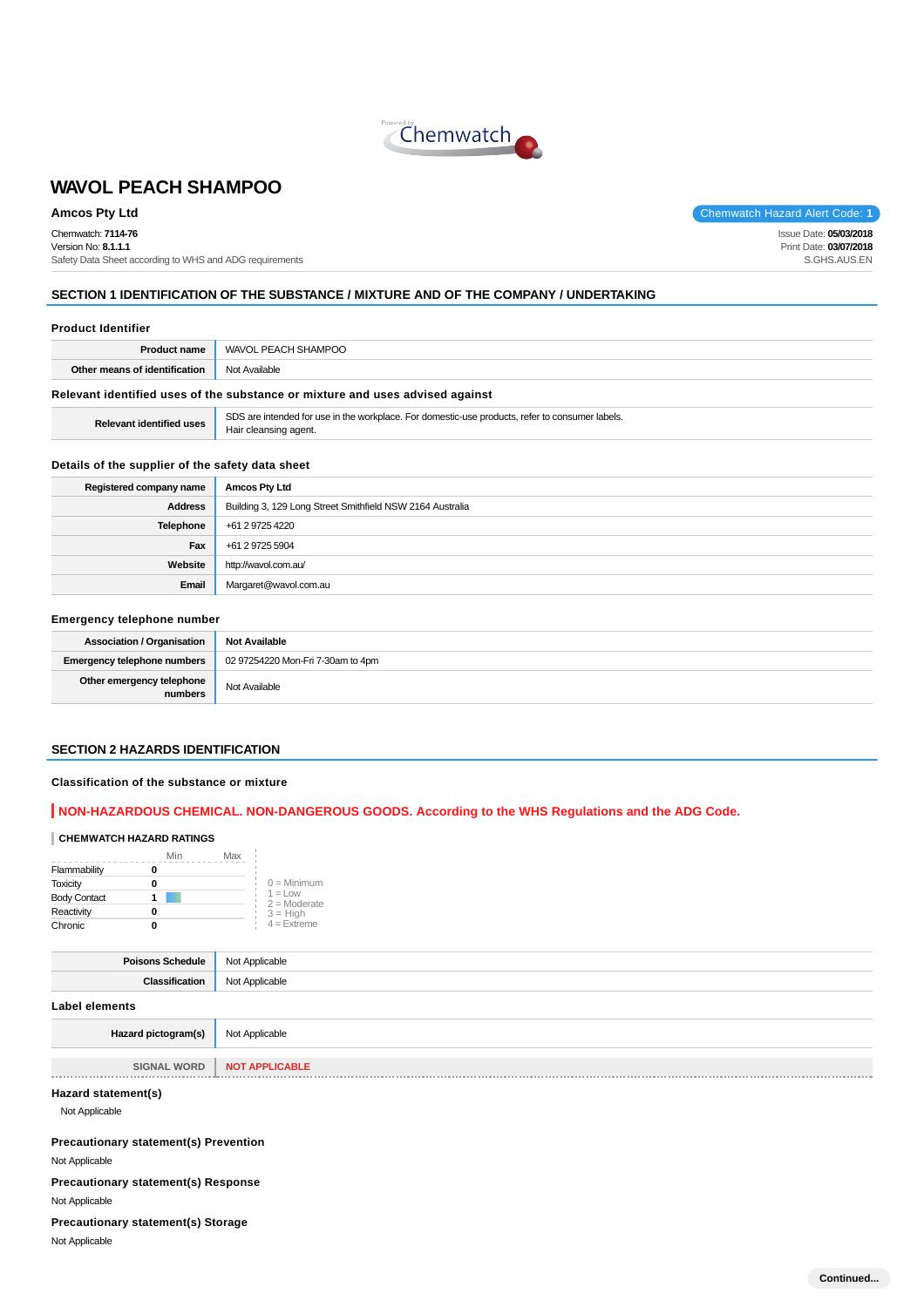

Chemwatch: **7114-76**

Version No: **8.1.1.1** Safety Data Sheet according to WHS and ADG requirements

**Amcos Pty Ltd** Chemwatch Hazard Alert Code: **1** 

Issue Date: **05/03/2018** Print Date: **03/07/2018** S.GHS.AUS.EN

# **SECTION 1 IDENTIFICATION OF THE SUBSTANCE / MIXTURE AND OF THE COMPANY / UNDERTAKING**

#### **Product Identifier**

| <b>Product name</b>                                                           | WAVOL PEACH SHAMPOO |  |  |
|-------------------------------------------------------------------------------|---------------------|--|--|
| Other means of identification                                                 | Not Available       |  |  |
| Relevant identified uses of the substance or mixture and uses advised against |                     |  |  |

**Relevant identified uses** SDS are intended for use in the workplace. For domestic-use products, refer to consumer labels. Hair cleansing agent.

#### **Details of the supplier of the safety data sheet**

| Registered company name | <b>Amcos Pty Ltd</b>                                      |  |  |
|-------------------------|-----------------------------------------------------------|--|--|
| <b>Address</b>          | Building 3, 129 Long Street Smithfield NSW 2164 Australia |  |  |
| <b>Telephone</b>        | +61 2 9725 4220                                           |  |  |
| Fax                     | +61 2 9725 5904                                           |  |  |
| Website                 | http://wavol.com.au/                                      |  |  |
| Email                   | Margaret@wavol.com.au                                     |  |  |

### **Emergency telephone number**

| <b>Association / Organisation</b>    | <b>Not Available</b>              |
|--------------------------------------|-----------------------------------|
| <b>Emergency telephone numbers</b>   | 02 97254220 Mon-Fri 7-30am to 4pm |
| Other emergency telephone<br>numbers | Not Available                     |

#### **SECTION 2 HAZARDS IDENTIFICATION**

#### **Classification of the substance or mixture**

# **NON-HAZARDOUS CHEMICAL. NON-DANGEROUS GOODS. According to the WHS Regulations and the ADG Code.**

# **CHEMWATCH HAZARD RATINGS**

|                       | Min | Max                          |
|-----------------------|-----|------------------------------|
| Flammability          |     |                              |
| <b>Toxicity</b>       |     | $0 =$ Minimum                |
| <b>Body Contact</b>   |     | $1 = 1$ OW<br>$2 =$ Moderate |
| Reactivity<br>Chronic |     | $3 = High$                   |
|                       |     | $4 =$ Extreme                |

| Poisons Schedule      | Not Applicable |  |  |
|-----------------------|----------------|--|--|
| Classification        | Not Applicable |  |  |
| <b>Label elements</b> |                |  |  |
| Hazard pictogram(s)   | Not Applicable |  |  |

**SIGNAL WORD** | **NOT APPLICABLE Contract Contract Contract** 

# **Hazard statement(s)**

Not Applicable

**Precautionary statement(s) Prevention**

Not Applicable

**Precautionary statement(s) Response** Not Applicable

#### **Precautionary statement(s) Storage**

Not Applicable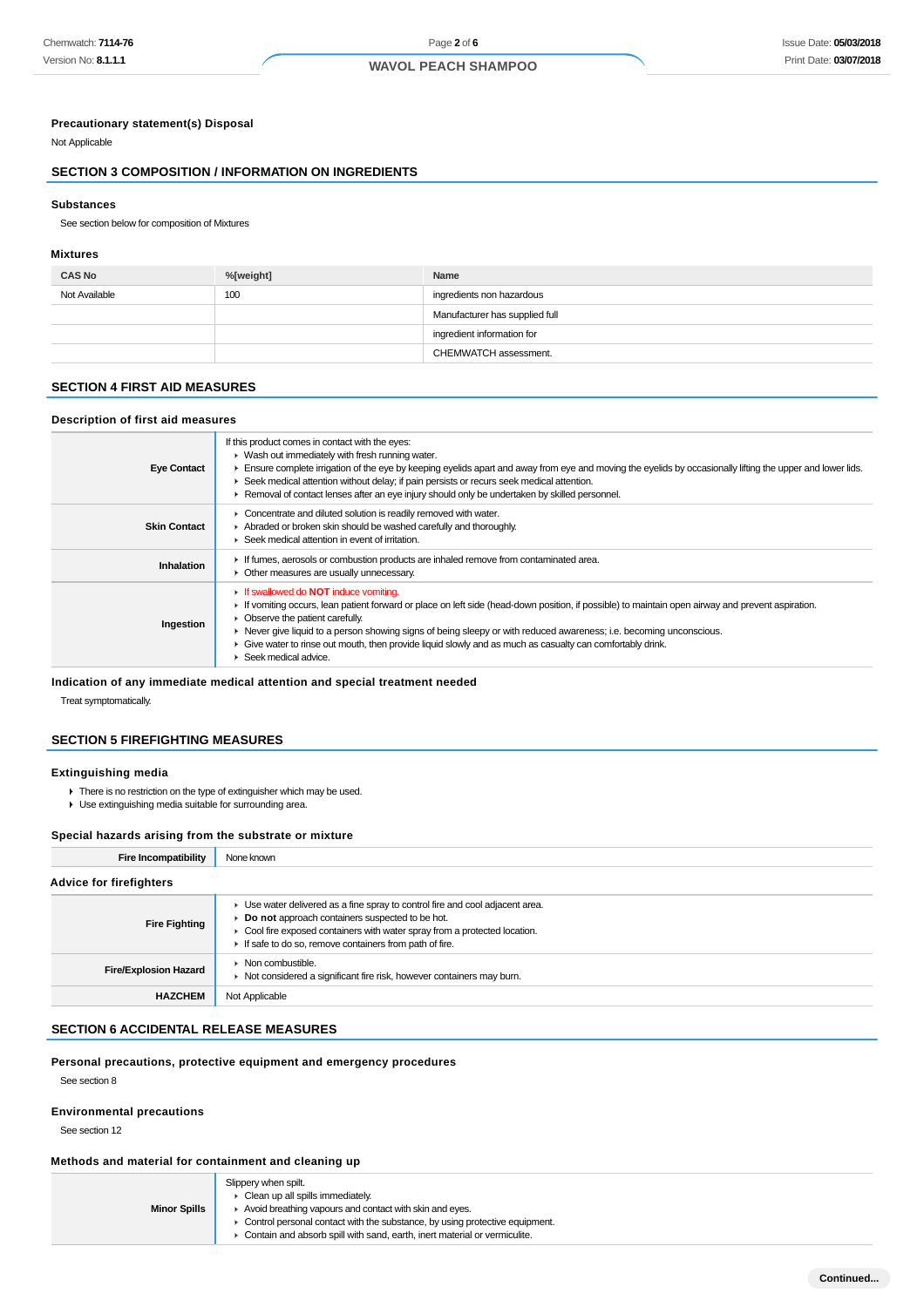#### **Precautionary statement(s) Disposal**

Not Applicable

# **SECTION 3 COMPOSITION / INFORMATION ON INGREDIENTS**

#### **Substances**

See section below for composition of Mixtures

#### **Mixtures**

| <b>CAS No</b> | %[weight] | Name                           |  |
|---------------|-----------|--------------------------------|--|
| Not Available | 100       | ingredients non hazardous      |  |
|               |           | Manufacturer has supplied full |  |
|               |           | ingredient information for     |  |
|               |           | CHEMWATCH assessment.          |  |

# **SECTION 4 FIRST AID MEASURES**

### **Description of first aid measures**

| <b>Eye Contact</b>  | If this product comes in contact with the eyes:<br>• Wash out immediately with fresh running water.<br>Ensure complete irrigation of the eye by keeping eyelids apart and away from eye and moving the eyelids by occasionally lifting the upper and lower lids.<br>► Seek medical attention without delay; if pain persists or recurs seek medical attention.<br>Removal of contact lenses after an eye injury should only be undertaken by skilled personnel.                                  |  |  |  |
|---------------------|--------------------------------------------------------------------------------------------------------------------------------------------------------------------------------------------------------------------------------------------------------------------------------------------------------------------------------------------------------------------------------------------------------------------------------------------------------------------------------------------------|--|--|--|
| <b>Skin Contact</b> | Concentrate and diluted solution is readily removed with water.<br>Abraded or broken skin should be washed carefully and thoroughly.<br>$\blacktriangleright$ Seek medical attention in event of irritation.                                                                                                                                                                                                                                                                                     |  |  |  |
| Inhalation          | If fumes, aerosols or combustion products are inhaled remove from contaminated area.<br>• Other measures are usually unnecessary.                                                                                                                                                                                                                                                                                                                                                                |  |  |  |
| Ingestion           | <b>If swallowed do NOT induce vomiting.</b><br>If vomiting occurs, lean patient forward or place on left side (head-down position, if possible) to maintain open airway and prevent aspiration.<br>• Observe the patient carefully.<br>► Never give liquid to a person showing signs of being sleepy or with reduced awareness; i.e. becoming unconscious.<br>• Give water to rinse out mouth, then provide liquid slowly and as much as casualty can comfortably drink.<br>Seek medical advice. |  |  |  |

# **Indication of any immediate medical attention and special treatment needed**

Treat symptomatically.

# **SECTION 5 FIREFIGHTING MEASURES**

# **Extinguishing media**

- There is no restriction on the type of extinguisher which may be used.
- Use extinguishing media suitable for surrounding area.

#### **Special hazards arising from the substrate or mixture**

| Fire Incompatibility           | None known                                                                                                                                                                                                                                                               |
|--------------------------------|--------------------------------------------------------------------------------------------------------------------------------------------------------------------------------------------------------------------------------------------------------------------------|
| <b>Advice for firefighters</b> |                                                                                                                                                                                                                                                                          |
| <b>Fire Fighting</b>           | • Use water delivered as a fine spray to control fire and cool adjacent area.<br>Do not approach containers suspected to be hot.<br>• Cool fire exposed containers with water spray from a protected location.<br>If safe to do so, remove containers from path of fire. |
| <b>Fire/Explosion Hazard</b>   | $\triangleright$ Non combustible.<br>• Not considered a significant fire risk, however containers may burn.                                                                                                                                                              |
| <b>HAZCHEM</b>                 | Not Applicable                                                                                                                                                                                                                                                           |

# **SECTION 6 ACCIDENTAL RELEASE MEASURES**

#### **Personal precautions, protective equipment and emergency procedures**

See section 8

### **Environmental precautions**

See section 12

# **Methods and material for containment and cleaning up**

|                     | Slippery when spilt.                                                        |
|---------------------|-----------------------------------------------------------------------------|
|                     | Clean up all spills immediately.                                            |
| <b>Minor Spills</b> | Avoid breathing vapours and contact with skin and eyes.                     |
|                     | Control personal contact with the substance, by using protective equipment. |
|                     | Contain and absorb spill with sand, earth, inert material or vermiculite.   |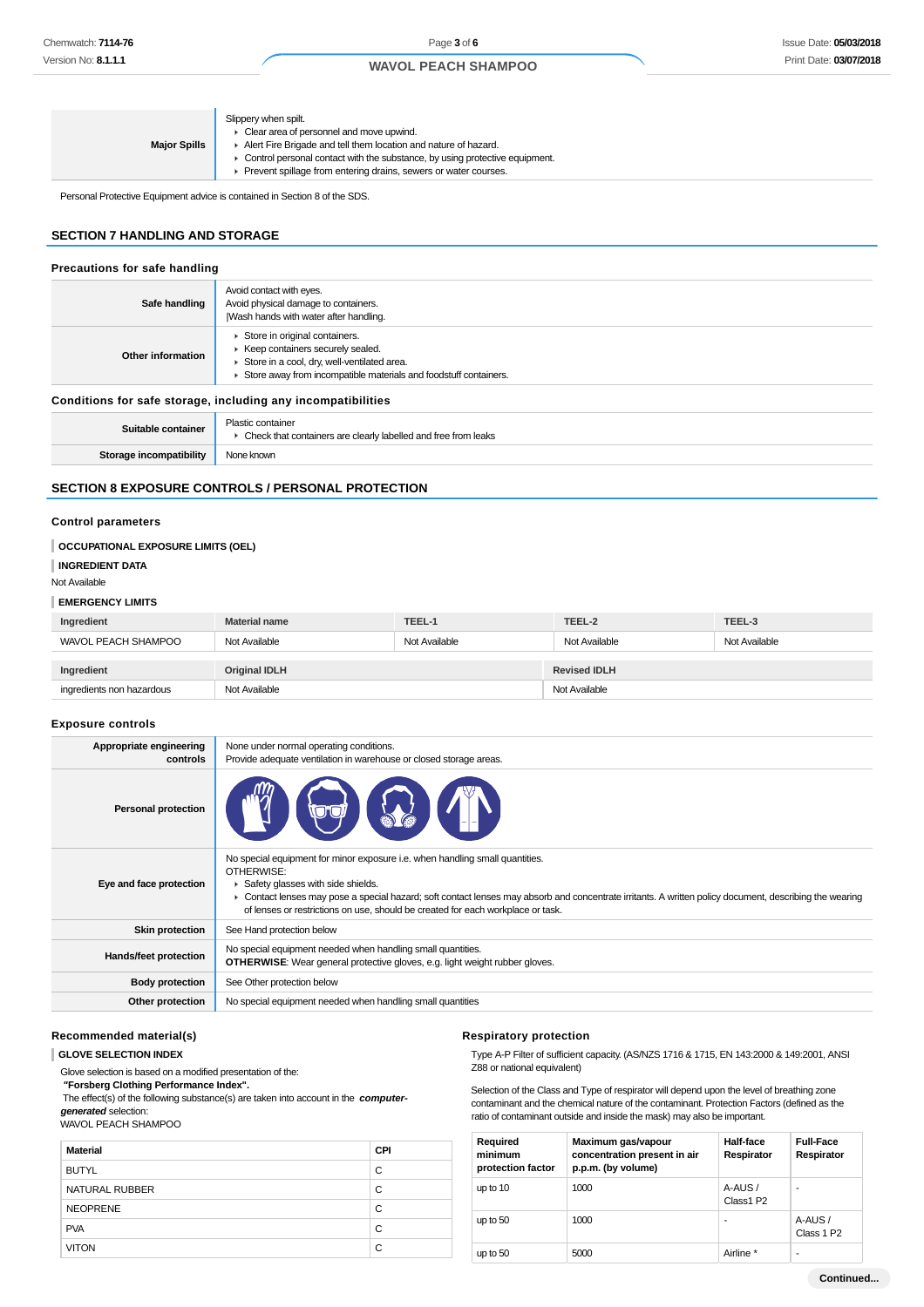| Slippery when spilt.<br>• Clear area of personnel and move upwind.<br>Alert Fire Brigade and tell them location and nature of hazard.<br><b>Major Spills</b><br>$\triangleright$ Control personal contact with the substance, by using protective equipment.<br>Prevent spillage from entering drains, sewers or water courses. |
|---------------------------------------------------------------------------------------------------------------------------------------------------------------------------------------------------------------------------------------------------------------------------------------------------------------------------------|
|---------------------------------------------------------------------------------------------------------------------------------------------------------------------------------------------------------------------------------------------------------------------------------------------------------------------------------|

Personal Protective Equipment advice is contained in Section 8 of the SDS.

# **SECTION 7 HANDLING AND STORAGE**

| Precautions for safe handling                                |                                                                                                                                                                                        |  |  |
|--------------------------------------------------------------|----------------------------------------------------------------------------------------------------------------------------------------------------------------------------------------|--|--|
| Safe handling                                                | Avoid contact with eyes.<br>Avoid physical damage to containers.<br>Wash hands with water after handling.                                                                              |  |  |
| Other information                                            | Store in original containers.<br>▶ Keep containers securely sealed.<br>Store in a cool, dry, well-ventilated area.<br>Store away from incompatible materials and foodstuff containers. |  |  |
| Conditions for safe storage, including any incompatibilities |                                                                                                                                                                                        |  |  |
| Suitable container                                           | Plastic container<br>• Check that containers are clearly labelled and free from leaks                                                                                                  |  |  |
| Storage incompatibility                                      | None known                                                                                                                                                                             |  |  |

# **SECTION 8 EXPOSURE CONTROLS / PERSONAL PROTECTION**

#### **Control parameters**

| OCCUPATIONAL EXPOSURE LIMITS (OEL)<br><b>INGREDIENT DATA</b><br>Not Available |                      |               |                     |               |
|-------------------------------------------------------------------------------|----------------------|---------------|---------------------|---------------|
| <b>EMERGENCY LIMITS</b>                                                       |                      |               |                     |               |
| Ingredient                                                                    | <b>Material name</b> | TEEL-1        | TEEL-2              | TEEL-3        |
| WAVOL PEACH SHAMPOO                                                           | Not Available        | Not Available | Not Available       | Not Available |
|                                                                               |                      |               |                     |               |
| Ingredient                                                                    | <b>Original IDLH</b> |               | <b>Revised IDLH</b> |               |
| ingredients non hazardous                                                     | Not Available        |               | Not Available       |               |

# **Exposure controls**

| Appropriate engineering<br>controls | None under normal operating conditions.<br>Provide adequate ventilation in warehouse or closed storage areas.                                                                                                                                                                                                                                                                 |
|-------------------------------------|-------------------------------------------------------------------------------------------------------------------------------------------------------------------------------------------------------------------------------------------------------------------------------------------------------------------------------------------------------------------------------|
| <b>Personal protection</b>          |                                                                                                                                                                                                                                                                                                                                                                               |
| Eye and face protection             | No special equipment for minor exposure i.e. when handling small quantities.<br>OTHERWISE:<br>Safety glasses with side shields.<br>• Contact lenses may pose a special hazard; soft contact lenses may absorb and concentrate irritants. A written policy document, describing the wearing<br>of lenses or restrictions on use, should be created for each workplace or task. |
| <b>Skin protection</b>              | See Hand protection below                                                                                                                                                                                                                                                                                                                                                     |
| Hands/feet protection               | No special equipment needed when handling small quantities.<br><b>OTHERWISE:</b> Wear general protective gloves, e.g. light weight rubber gloves.                                                                                                                                                                                                                             |
| <b>Body protection</b>              | See Other protection below                                                                                                                                                                                                                                                                                                                                                    |
| Other protection                    | No special equipment needed when handling small quantities                                                                                                                                                                                                                                                                                                                    |

#### **Recommended material(s)**

**GLOVE SELECTION INDEX**

Glove selection is based on a modified presentation of the:

 **"Forsberg Clothing Performance Index".**

 The effect(s) of the following substance(s) are taken into account in the **computergenerated** selection:

WAVOL PEACH SHAMPOO

| <b>Material</b>       | <b>CPI</b> |
|-----------------------|------------|
| <b>BUTYL</b>          | C          |
| <b>NATURAL RUBBER</b> | C          |
| <b>NEOPRENE</b>       | C          |
| <b>PVA</b>            | C          |
| <b>VITON</b>          | C          |

#### **Respiratory protection**

Type A-P Filter of sufficient capacity. (AS/NZS 1716 & 1715, EN 143:2000 & 149:2001, ANSI Z88 or national equivalent)

Selection of the Class and Type of respirator will depend upon the level of breathing zone contaminant and the chemical nature of the contaminant. Protection Factors (defined as the ratio of contaminant outside and inside the mask) may also be important.

| Required<br>minimum<br>protection factor | Maximum gas/vapour<br>concentration present in air<br>p.p.m. (by volume) | Half-face<br>Respirator         | <b>Full-Face</b><br>Respirator    |
|------------------------------------------|--------------------------------------------------------------------------|---------------------------------|-----------------------------------|
| up to 10                                 | 1000                                                                     | A-AUS/<br>Class1 P <sub>2</sub> | ۰                                 |
| up to 50                                 | 1000                                                                     | ۰                               | A-AUS /<br>Class 1 P <sub>2</sub> |
| up to 50                                 | 5000                                                                     | Airline *                       | ۰                                 |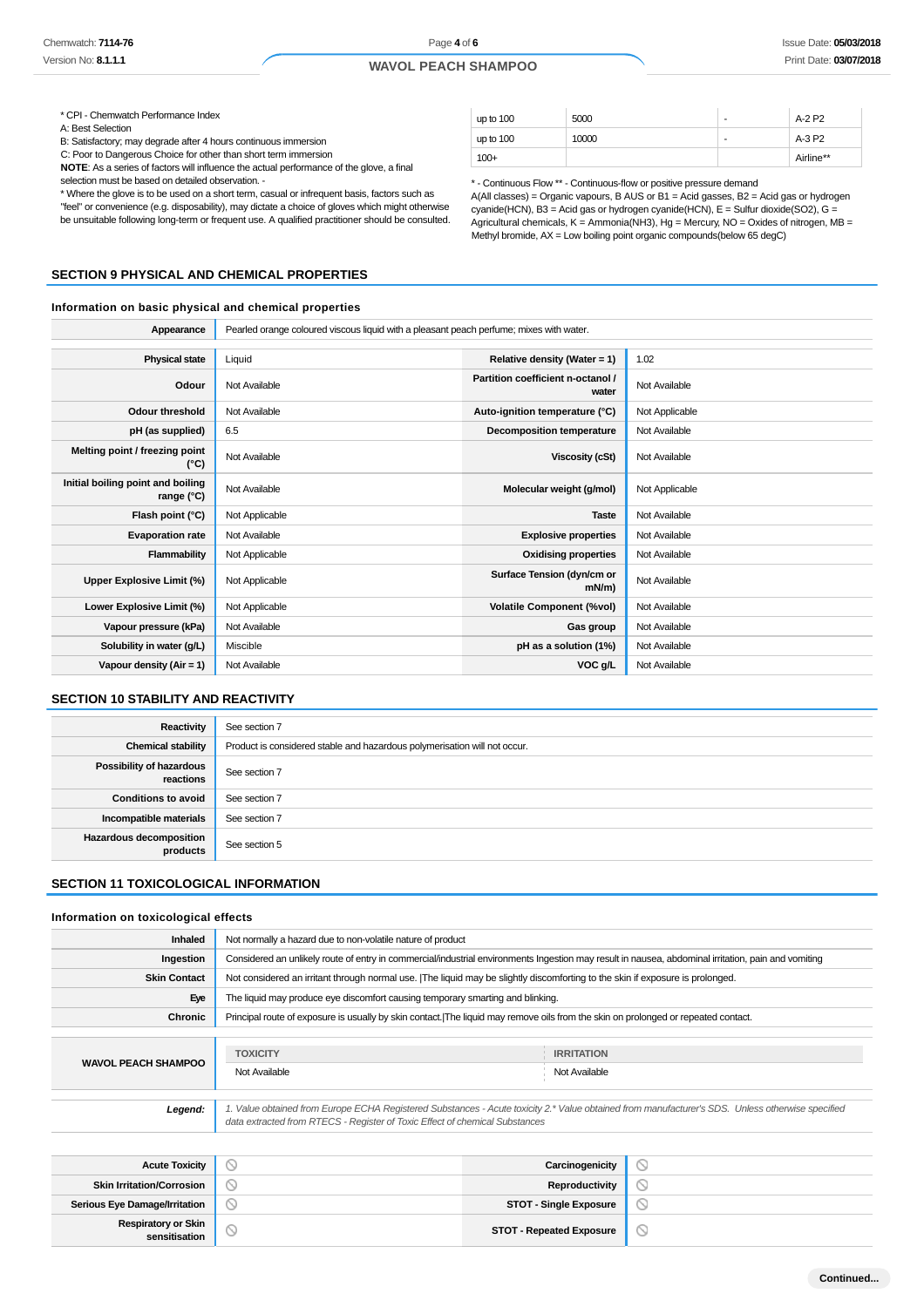Page **4** of **6**

# **WAVOL PEACH SHAMPOO**

\* CPI - Chemwatch Performance Index

A: Best Selection

B: Satisfactory; may degrade after 4 hours continuous immersion

C: Poor to Dangerous Choice for other than short term immersion

**NOTE**: As a series of factors will influence the actual performance of the glove, a final selection must be based on detailed observation. -

\* Where the glove is to be used on a short term, casual or infrequent basis, factors such as "feel" or convenience (e.g. disposability), may dictate a choice of gloves which might otherwise be unsuitable following long-term or frequent use. A qualified practitioner should be consulted.

# **SECTION 9 PHYSICAL AND CHEMICAL PROPERTIES**

#### **Information on basic physical and chemical properties**

Appearance **Pearled orange coloured viscous liquid with a pleasant peach perfume; mixes with water.** 

| <b>Physical state</b>                           | Liquid         | Relative density (Water = $1$ )            | 1.02           |
|-------------------------------------------------|----------------|--------------------------------------------|----------------|
| Odour                                           | Not Available  | Partition coefficient n-octanol /<br>water | Not Available  |
| Odour threshold                                 | Not Available  | Auto-ignition temperature (°C)             | Not Applicable |
| pH (as supplied)                                | 6.5            | Decomposition temperature                  | Not Available  |
| Melting point / freezing point<br>(°C)          | Not Available  | Viscosity (cSt)                            | Not Available  |
| Initial boiling point and boiling<br>range (°C) | Not Available  | Molecular weight (g/mol)                   | Not Applicable |
| Flash point (°C)                                | Not Applicable | <b>Taste</b>                               | Not Available  |
| <b>Evaporation rate</b>                         | Not Available  | <b>Explosive properties</b>                | Not Available  |
| Flammability                                    | Not Applicable | <b>Oxidising properties</b>                | Not Available  |
| Upper Explosive Limit (%)                       | Not Applicable | Surface Tension (dyn/cm or<br>$mN/m$ )     | Not Available  |
| Lower Explosive Limit (%)                       | Not Applicable | <b>Volatile Component (%vol)</b>           | Not Available  |
| Vapour pressure (kPa)                           | Not Available  | Gas group                                  | Not Available  |
| Solubility in water (g/L)                       | Miscible       | pH as a solution (1%)                      | Not Available  |
| Vapour density (Air = 1)                        | Not Available  | VOC g/L                                    | Not Available  |

#### **SECTION 10 STABILITY AND REACTIVITY**

| Reactivity                                   | See section 7                                                             |
|----------------------------------------------|---------------------------------------------------------------------------|
| <b>Chemical stability</b>                    | Product is considered stable and hazardous polymerisation will not occur. |
| <b>Possibility of hazardous</b><br>reactions | See section 7                                                             |
| <b>Conditions to avoid</b>                   | See section 7                                                             |
| Incompatible materials                       | See section 7                                                             |
| <b>Hazardous decomposition</b><br>products   | See section 5                                                             |

#### **SECTION 11 TOXICOLOGICAL INFORMATION**

#### **Information on toxicological effects**

| <b>Inhaled</b>             | Not normally a hazard due to non-volatile nature of product                                                                                                                                                                     |                                    |
|----------------------------|---------------------------------------------------------------------------------------------------------------------------------------------------------------------------------------------------------------------------------|------------------------------------|
| Ingestion                  | Considered an unlikely route of entry in commercial/industrial environments Ingestion may result in nausea, abdominal irritation, pain and vomiting                                                                             |                                    |
| <b>Skin Contact</b>        | Not considered an irritant through normal use. [The liquid may be slightly discomforting to the skin if exposure is prolonged.                                                                                                  |                                    |
| Eye                        | The liquid may produce eye discomfort causing temporary smarting and blinking.                                                                                                                                                  |                                    |
| Chronic                    | Principal route of exposure is usually by skin contact. The liquid may remove oils from the skin on prolonged or repeated contact.                                                                                              |                                    |
|                            |                                                                                                                                                                                                                                 |                                    |
| <b>WAVOL PEACH SHAMPOO</b> | <b>TOXICITY</b><br>Not Available                                                                                                                                                                                                | <b>IRRITATION</b><br>Not Available |
| Legend:                    | 1. Value obtained from Europe ECHA Registered Substances - Acute toxicity 2.* Value obtained from manufacturer's SDS. Unless otherwise specified<br>data extracted from RTECS - Register of Toxic Effect of chemical Substances |                                    |
|                            |                                                                                                                                                                                                                                 |                                    |
| <b>Acute Toxicity</b>      | Carcinogenicity                                                                                                                                                                                                                 |                                    |

| <b>Acute Toxicity</b>                       |   | Carcinogenicity                 |   |
|---------------------------------------------|---|---------------------------------|---|
| <b>Skin Irritation/Corrosion</b>            |   | Reproductivity                  | ◡ |
| <b>Serious Eye Damage/Irritation</b>        |   | <b>STOT - Single Exposure</b>   |   |
| <b>Respiratory or Skin</b><br>sensitisation | ◡ | <b>STOT - Repeated Exposure</b> | ◡ |

| up to 100 | 5000  | ٠ | A-2 P2    |
|-----------|-------|---|-----------|
| up to 100 | 10000 | ٠ | A-3 P2    |
| $100+$    |       |   | Airline** |

\* - Continuous Flow \*\* - Continuous-flow or positive pressure demand A(All classes) = Organic vapours, B AUS or B1 = Acid gasses, B2 = Acid gas or hydrogen

cyanide(HCN), B3 = Acid gas or hydrogen cyanide(HCN), E = Sulfur dioxide(SO2), G = Agricultural chemicals, K = Ammonia(NH3), Hg = Mercury, NO = Oxides of nitrogen, MB = Methyl bromide, AX = Low boiling point organic compounds(below 65 degC)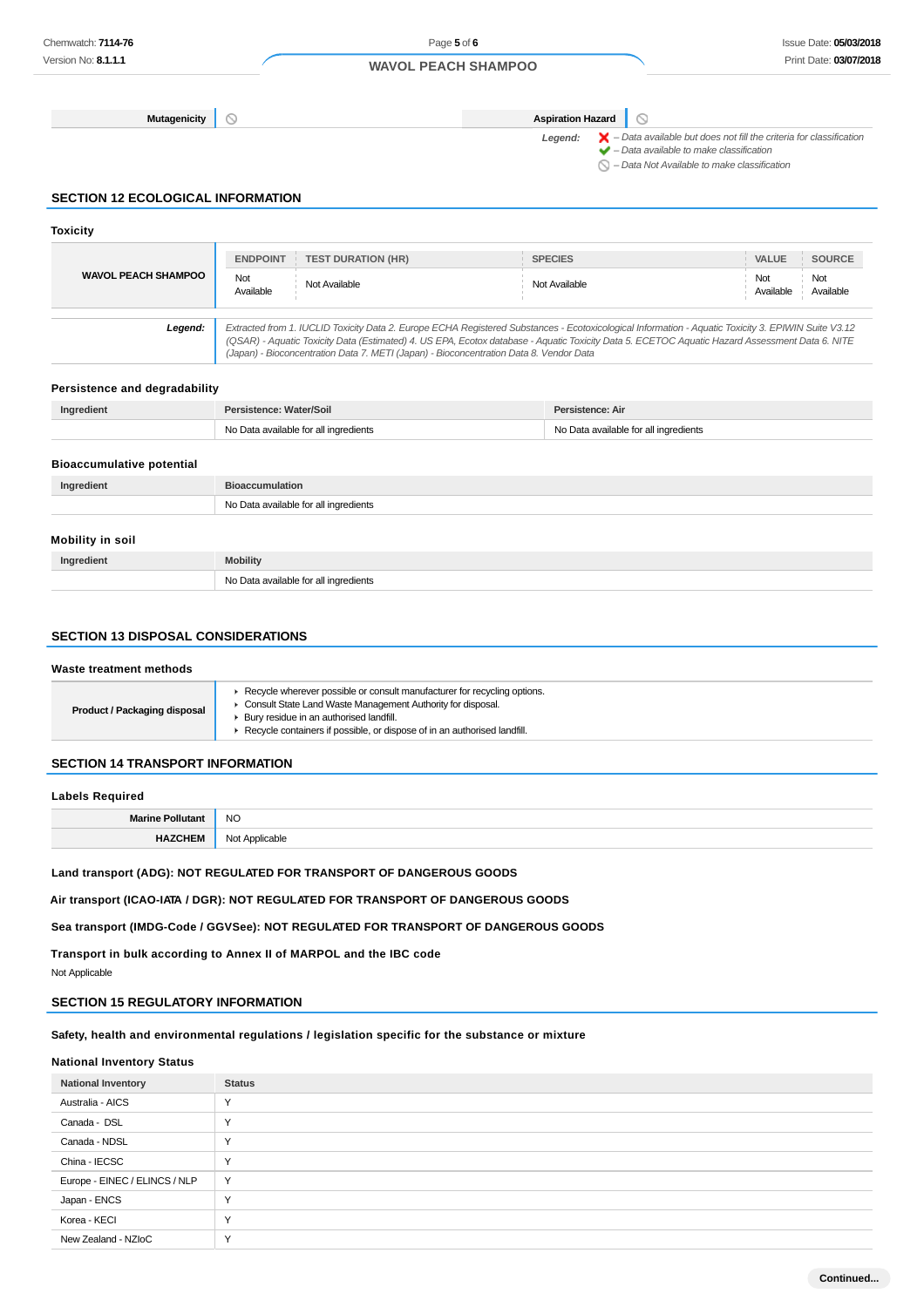**Mutagenicity Aspiration Hazard**

 $\circ$ 

Legend:  $\mathsf{X}$  – Data available but does not fill the criteria for classification  $\blacktriangleright$  – Data available to make classification

 $\bigcirc$  – Data Not Available to make classification

# **SECTION 12 ECOLOGICAL INFORMATION**

#### **Toxicity WAVOL PEACH SHAMPOO ENDPOINT TEST DURATION (HR) SPECIES VALUE SOURCE** Not Available Not Available Not Available Not Available Not Available **Legend:** Extracted from 1. IUCLID Toxicity Data 2. Europe ECHA Registered Substances - Ecotoxicological Information - Aquatic Toxicity 3. EPIWIN Suite V3.12 (QSAR) - Aquatic Toxicity Data (Estimated) 4. US EPA, Ecotox database - Aquatic Toxicity Data 5. ECETOC Aquatic Hazard Assessment Data 6. NITE (Japan) - Bioconcentration Data 7. METI (Japan) - Bioconcentration Data 8. Vendor Data

#### **Persistence and degradability**

| Ingredient                       | Persistence: Water/Soil               | Persistence: Air                      |
|----------------------------------|---------------------------------------|---------------------------------------|
|                                  | No Data available for all ingredients | No Data available for all ingredients |
|                                  |                                       |                                       |
| <b>Bioaccumulative potential</b> |                                       |                                       |
| Ingredient                       | <b>Bioaccumulation</b>                |                                       |
|                                  | No Data available for all ingredients |                                       |
|                                  |                                       |                                       |
| Mobility in soil                 |                                       |                                       |
| Ingredient                       | <b>Mobility</b>                       |                                       |
|                                  | No Data available for all ingredients |                                       |

# **SECTION 13 DISPOSAL CONSIDERATIONS**

#### **Waste treatment methods**

| Recycle wherever possible or consult manufacturer for recycling options.<br>• Consult State Land Waste Management Authority for disposal.<br><b>Product / Packaging disposal</b><br>Bury residue in an authorised landfill.<br>Recycle containers if possible, or dispose of in an authorised landfill. |
|---------------------------------------------------------------------------------------------------------------------------------------------------------------------------------------------------------------------------------------------------------------------------------------------------------|
|---------------------------------------------------------------------------------------------------------------------------------------------------------------------------------------------------------------------------------------------------------------------------------------------------------|

# **SECTION 14 TRANSPORT INFORMATION**

#### **Labels Required**

|            | <b>NC</b><br>$\sim$ |
|------------|---------------------|
| __________ |                     |

**Land transport (ADG): NOT REGULATED FOR TRANSPORT OF DANGEROUS GOODS**

**Air transport (ICAO-IATA / DGR): NOT REGULATED FOR TRANSPORT OF DANGEROUS GOODS**

**Sea transport (IMDG-Code / GGVSee): NOT REGULATED FOR TRANSPORT OF DANGEROUS GOODS**

**Transport in bulk according to Annex II of MARPOL and the IBC code**

Not Applicable

## **SECTION 15 REGULATORY INFORMATION**

# **Safety, health and environmental regulations / legislation specific for the substance or mixture**

## **National Inventory Status**

| <b>National Inventory</b>     | <b>Status</b> |
|-------------------------------|---------------|
| Australia - AICS              | $\checkmark$  |
| Canada - DSL                  | $\checkmark$  |
| Canada - NDSL                 | $\checkmark$  |
| China - IECSC                 | $\checkmark$  |
| Europe - EINEC / ELINCS / NLP | Y             |
| Japan - ENCS                  | $\checkmark$  |
| Korea - KECI                  | $\checkmark$  |
| New Zealand - NZIoC           | $\checkmark$  |